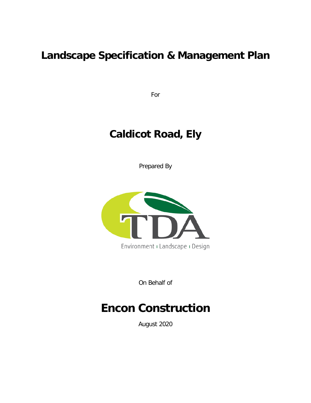# **Landscape Specification & Management Plan**

For

# **Caldicot Road, Ely**

Prepared By



On Behalf of

# **Encon Construction**

August 2020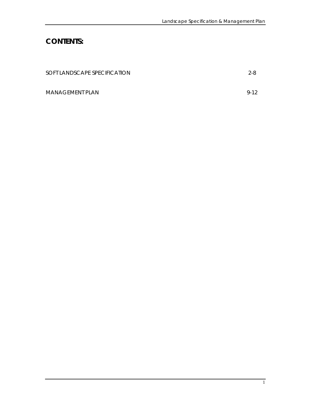# **CONTENTS:**

| SOFT LANDSCAPE SPECIFICATION | $2 - 8$ |
|------------------------------|---------|
| MANAGEMENT PLAN              | $9-12$  |
|                              |         |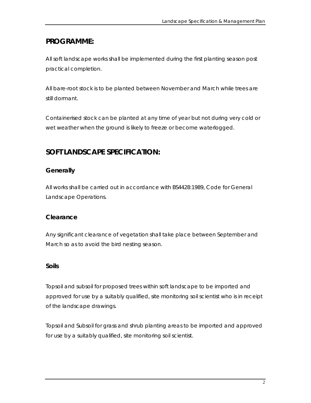# **PROGRAMME:**

All soft landscape works shall be implemented during the first planting season post practical completion.

All bare-root stock is to be planted between November and March while trees are still dormant.

Containerised stock can be planted at any time of year but not during very cold or wet weather when the ground is likely to freeze or become waterlogged.

# **SOFT LANDSCAPE SPECIFICATION:**

# **Generally**

All works shall be carried out in accordance with BS4428:1989, Code for General Landscape Operations.

## **Clearance**

Any significant clearance of vegetation shall take place between September and March so as to avoid the bird nesting season.

## **Soils**

Topsoil and subsoil for proposed trees within soft landscape to be imported and approved for use by a suitably qualified, site monitoring soil scientist who is in receipt of the landscape drawings.

Topsoil and Subsoil for grass and shrub planting areas to be imported and approved for use by a suitably qualified, site monitoring soil scientist.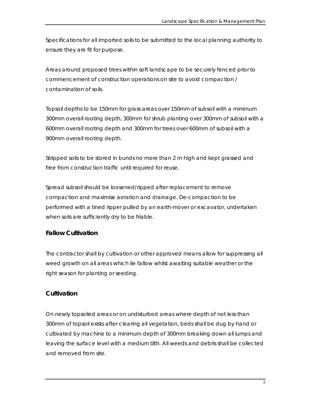Specifications for all imported soils to be submitted to the local planning authority to ensure they are fit for purpose.

Areas around proposed trees within soft landscape to be securely fenced prior to commencement of construction operations on site to avoid compaction / contamination of soils.

Topsoil depths to be 150mm for grass areas over 150mm of subsoil with a minimum 300mm overall rooting depth, 300mm for shrub planting over 300mm of subsoil with a 600mm overall rooting depth and 300mm for trees over 600mm of subsoil with a 900mm overall rooting depth.

Stripped soils to be stored in bunds no more than 2 m high and kept grassed and free from construction traffic until required for reuse.

Spread subsoil should be loosened/ripped after replacement to remove compaction and maximise aeration and drainage. De-compaction to be performed with a tined ripper pulled by an earth-mover or excavator, undertaken when soils are sufficiently dry to be friable.

### **Fallow Cultivation**

The contractor shall by cultivation or other approved means allow for suppressing all weed growth on all areas which lie fallow whilst awaiting suitable weather or the right season for planting or seeding.

### **Cultivation**

On newly topsoiled areas or on undisturbed areas where depth of not less than 300mm of topsoil exists after clearing all vegetation, beds shall be dug by hand or cultivated by machine to a minimum depth of 300mm breaking down all lumps and leaving the surface level with a medium tilth. All weeds and debris shall be collected and removed from site.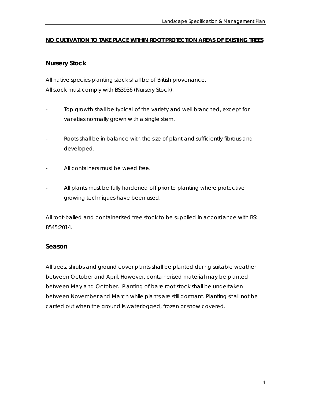#### **NO CULTIVATION TO TAKE PLACE WITHIN ROOT PROTECTION AREAS OF EXISTING TREES**

#### **Nursery Stock**

All native species planting stock shall be of British provenance. All stock must comply with BS3936 (Nursery Stock).

- Top growth shall be typical of the variety and well branched, except for varieties normally grown with a single stem.
- Roots shall be in balance with the size of plant and sufficiently fibrous and developed.
- All containers must be weed free.
- All plants must be fully hardened off prior to planting where protective growing techniques have been used.

All root-balled and containerised tree stock to be supplied in accordance with BS: 8545:2014.

#### **Season**

All trees, shrubs and ground cover plants shall be planted during suitable weather between October and April. However, containerised material may be planted between May and October. Planting of bare root stock shall be undertaken between November and March while plants are still dormant. Planting shall not be carried out when the ground is waterlogged, frozen or snow covered.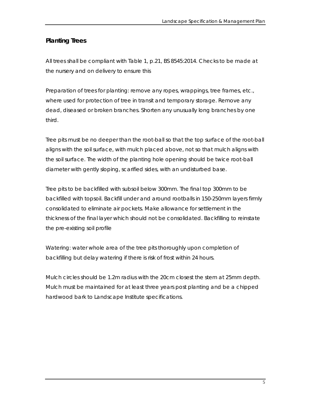# **Planting Trees**

All trees shall be compliant with Table 1, p.21, BS 8545:2014. Checks to be made at the nursery and on delivery to ensure this

Preparation of trees for planting: remove any ropes, wrappings, tree frames, etc., where used for protection of tree in transit and temporary storage. Remove any dead, diseased or broken branches. Shorten any unusually long branches by one third.

Tree pits must be no deeper than the root-ball so that the top surface of the root-ball aligns with the soil surface, with mulch placed above, not so that mulch aligns with the soil surface. The width of the planting hole opening should be twice root-ball diameter with gently sloping, scarified sides, with an undisturbed base.

Tree pits to be backfilled with subsoil below 300mm. The final top 300mm to be backfilled with topsoil. Backfill under and around rootballs in 150-250mm layers firmly consolidated to eliminate air pockets. Make allowance for settlement in the thickness of the final layer which should not be consolidated. Backfilling to reinstate the pre-existing soil profile

Watering: water whole area of the tree pits thoroughly upon completion of backfilling but delay watering if there is risk of frost within 24 hours.

Mulch circles should be 1.2m radius with the 20cm closest the stem at 25mm depth. Mulch must be maintained for at least three years post planting and be a chipped hardwood bark to Landscape Institute specifications.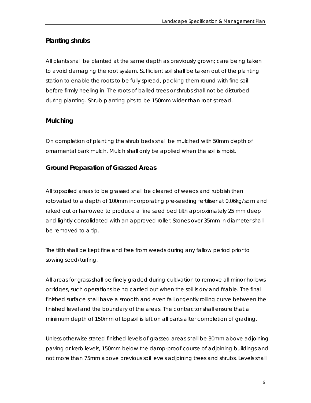### **Planting shrubs**

All plants shall be planted at the same depth as previously grown; care being taken to avoid damaging the root system. Sufficient soil shall be taken out of the planting station to enable the roots to be fully spread, packing them round with fine soil before firmly heeling in. The roots of balled trees or shrubs shall not be disturbed during planting. Shrub planting pits to be 150mm wider than root spread.

### **Mulching**

On completion of planting the shrub beds shall be mulched with 50mm depth of ornamental bark mulch. Mulch shall only be applied when the soil is moist.

### **Ground Preparation of Grassed Areas**

All topsoiled areas to be grassed shall be cleared of weeds and rubbish then rotovated to a depth of 100mm incorporating pre-seeding fertiliser at 0.06kg/sqm and raked out or harrowed to produce a fine seed bed tilth approximately 25 mm deep and lightly consolidated with an approved roller. Stones over 35mm in diameter shall be removed to a tip.

The tilth shall be kept fine and free from weeds during any fallow period prior to sowing seed/turfing.

All areas for grass shall be finely graded during cultivation to remove all minor hollows or ridges, such operations being carried out when the soil is dry and friable. The final finished surface shall have a smooth and even fall or gently rolling curve between the finished level and the boundary of the areas. The contractor shall ensure that a minimum depth of 150mm of topsoil is left on all parts after completion of grading.

Unless otherwise stated finished levels of grassed areas shall be 30mm above adjoining paving or kerb levels, 150mm below the damp-proof course of adjoining buildings and not more than 75mm above previous soil levels adjoining trees and shrubs. Levels shall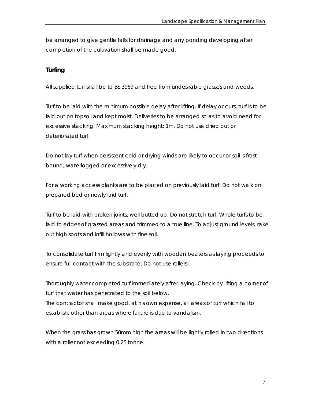be arranged to give gentle falls for drainage and any ponding developing after completion of the cultivation shall be made good.

### **Turfing**

All supplied turf shall be to BS 3969 and free from undesirable grasses and weeds.

Turf to be laid with the minimum possible delay after lifting. If delay occurs, turf is to be laid out on topsoil and kept moist. Deliveries to be arranged so as to avoid need for excessive stacking. Maximum stacking height: 1m. Do not use dried out or deteriorated turf.

Do not lay turf when persistent cold or drying winds are likely to occur or soil is frost bound, waterlogged or excessively dry.

For a working access planks are to be placed on previously laid turf. Do not walk on prepared bed or newly laid turf.

Turf to be laid with broken joints, well butted up. Do not stretch turf. Whole turfs to be laid to edges of grassed areas and trimmed to a true line. To adjust ground levels, rake out high spots and infill hollows with fine soil.

To consolidate turf firm lightly and evenly with wooden beaters as laying proceeds to ensure full contact with the substrate. Do not use rollers.

Thoroughly water completed turf immediately after laying. Check by lifting a corner of turf that water has penetrated to the soil below.

The contractor shall make good, at his own expense, all areas of turf which fail to establish, other than areas where failure is due to vandalism.

When the grass has grown 50mm high the areas will be lightly rolled in two directions with a roller not exceeding 0.25 tonne.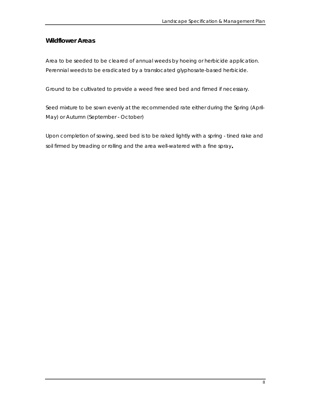#### **Wildflower Areas**

Area to be seeded to be cleared of annual weeds by hoeing or herbicide application. Perennial weeds to be eradicated by a translocated glyphosate-based herbicide.

Ground to be cultivated to provide a weed free seed bed and firmed if necessary.

Seed mixture to be sown evenly at the recommended rate either during the Spring (April-May) or Autumn (September - October)

Upon completion of sowing, seed bed is to be raked lightly with a spring - tined rake and soil firmed by treading or rolling and the area well-watered with a fine spray**.**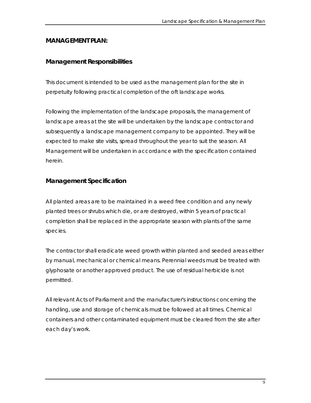#### **MANAGEMENT PLAN:**

#### **Management Responsibilities**

This document is intended to be used as the management plan for the site in perpetuity following practical completion of the oft landscape works.

Following the implementation of the landscape proposals, the management of landscape areas at the site will be undertaken by the landscape contractor and subsequently a landscape management company to be appointed. They will be expected to make site visits, spread throughout the year to suit the season. All Management will be undertaken in accordance with the specification contained herein.

#### **Management Specification**

All planted areas are to be maintained in a weed free condition and any newly planted trees or shrubs which die, or are destroyed, within 5 years of practical completion shall be replaced in the appropriate season with plants of the same species.

The contractor shall eradicate weed growth within planted and seeded areas either by manual, mechanical or chemical means. Perennial weeds must be treated with glyphosate or another approved product. The use of residual herbicide is not permitted.

All relevant Acts of Parliament and the manufacturer's instructions concerning the handling, use and storage of chemicals must be followed at all times. Chemical containers and other contaminated equipment must be cleared from the site after each day's work.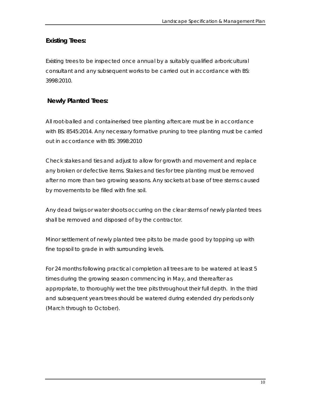# **Existing Trees:**

Existing trees to be inspected once annual by a suitably qualified arboricultural consultant and any subsequent works to be carried out in accordance with BS: 3998:2010.

# **Newly Planted Trees:**

All root-balled and containerised tree planting aftercare must be in accordance with BS: 8545:2014. Any necessary formative pruning to tree planting must be carried out in accordance with BS: 3998:2010

Check stakes and ties and adjust to allow for growth and movement and replace any broken or defective items. Stakes and ties for tree planting must be removed after no more than two growing seasons. Any sockets at base of tree stems caused by movements to be filled with fine soil.

Any dead twigs or water shoots occurring on the clear stems of newly planted trees shall be removed and disposed of by the contractor.

Minor settlement of newly planted tree pits to be made good by topping up with fine topsoil to grade in with surrounding levels.

For 24 months following practical completion all trees are to be watered at least 5 times during the growing season commencing in May, and thereafter as appropriate, to thoroughly wet the tree pits throughout their full depth. In the third and subsequent years trees should be watered during extended dry periods only (March through to October).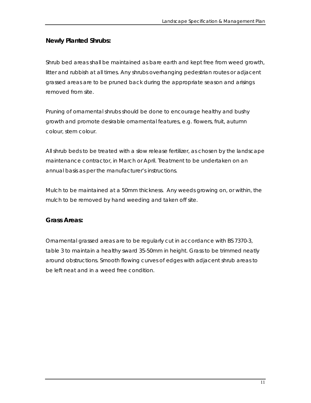#### **Newly Planted Shrubs:**

Shrub bed areas shall be maintained as bare earth and kept free from weed growth, litter and rubbish at all times. Any shrubs overhanging pedestrian routes or adjacent grassed areas are to be pruned back during the appropriate season and arisings removed from site.

Pruning of ornamental shrubs should be done to encourage healthy and bushy growth and promote desirable ornamental features, e.g. flowers, fruit, autumn colour, stem colour.

All shrub beds to be treated with a slow release fertilizer, as chosen by the landscape maintenance contractor, in March or April. Treatment to be undertaken on an annual basis as per the manufacturer's instructions.

Mulch to be maintained at a 50mm thickness. Any weeds growing on, or within, the mulch to be removed by hand weeding and taken off site.

#### **Grass Areas:**

Ornamental grassed areas are to be regularly cut in accordance with BS 7370-3, table 3 to maintain a healthy sward 35-50mm in height. Grass to be trimmed neatly around obstructions. Smooth flowing curves of edges with adjacent shrub areas to be left neat and in a weed free condition.